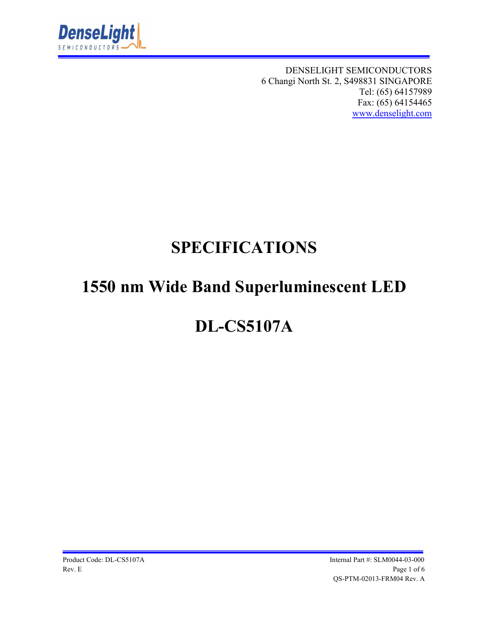

DENSELIGHT SEMICONDUCTORS 6 Changi North St. 2, S498831 SINGAPORE Tel: (65) 64157989 Fax: (65) 64154465 www.denselight.com

## **SPECIFICATIONS**

# **1550 nm Wide Band Superluminescent LED**

# **DL-CS5107A**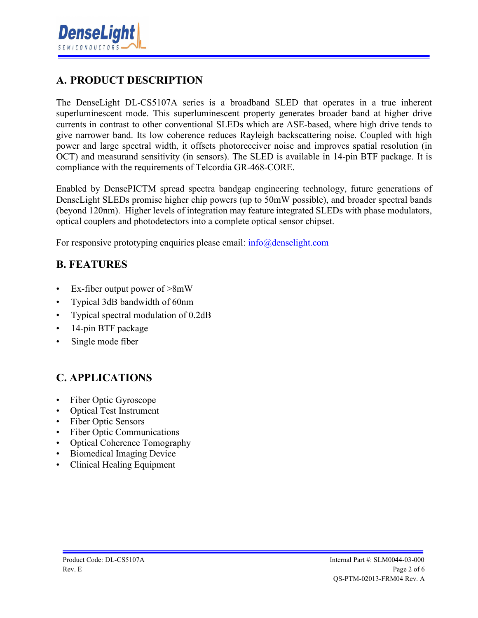

### **A. PRODUCT DESCRIPTION**

The DenseLight DL-CS5107A series is a broadband SLED that operates in a true inherent superluminescent mode. This superluminescent property generates broader band at higher drive currents in contrast to other conventional SLEDs which are ASE-based, where high drive tends to give narrower band. Its low coherence reduces Rayleigh backscattering noise. Coupled with high power and large spectral width, it offsets photoreceiver noise and improves spatial resolution (in OCT) and measurand sensitivity (in sensors). The SLED is available in 14-pin BTF package. It is compliance with the requirements of Telcordia GR-468-CORE.

Enabled by DensePICTM spread spectra bandgap engineering technology, future generations of DenseLight SLEDs promise higher chip powers (up to 50mW possible), and broader spectral bands (beyond 120nm). Higher levels of integration may feature integrated SLEDs with phase modulators, optical couplers and photodetectors into a complete optical sensor chipset.

For responsive prototyping enquiries please email:  $info@density$ 

#### **B. FEATURES**

- Ex-fiber output power of  $>8mW$
- Typical 3dB bandwidth of 60nm
- Typical spectral modulation of 0.2dB
- 14-pin BTF package
- Single mode fiber

#### **C. APPLICATIONS**

- Fiber Optic Gyroscope
- Optical Test Instrument
- Fiber Optic Sensors
- Fiber Optic Communications
- Optical Coherence Tomography
- Biomedical Imaging Device
- Clinical Healing Equipment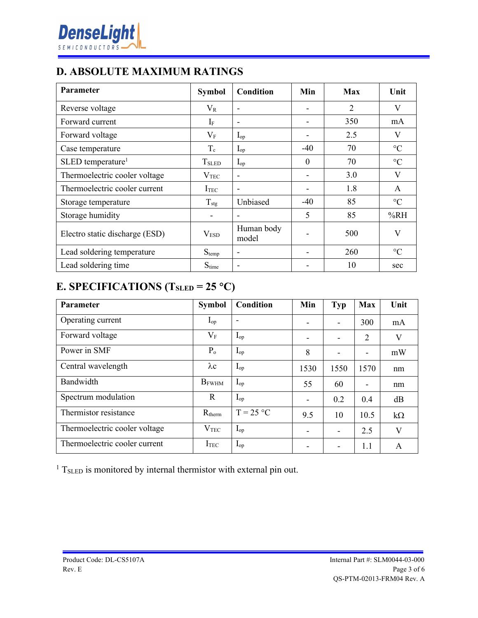### **D. ABSOLUTE MAXIMUM RATINGS**

| Parameter                      | <b>Symbol</b>            | Condition           | Min      | <b>Max</b>     | Unit            |
|--------------------------------|--------------------------|---------------------|----------|----------------|-----------------|
| Reverse voltage                | $\rm V_R$                |                     |          | $\overline{2}$ | V               |
| Forward current                | $I_{\rm F}$              |                     |          | 350            | mA              |
| Forward voltage                | $V_{\rm F}$              | $I_{op}$            |          | 2.5            | V               |
| Case temperature               | $T_c$                    | $I_{op}$            | $-40$    | 70             | $\rm ^{\circ}C$ |
| SLED temperature <sup>1</sup>  | <b>T</b> <sub>SLED</sub> | $I_{op}$            | $\theta$ | 70             | $\rm ^{\circ}C$ |
| Thermoelectric cooler voltage  | V <sub>TEC</sub>         |                     |          | 3.0            | $\mathbf{V}$    |
| Thermoelectric cooler current  | I <sub>TEC</sub>         |                     |          | 1.8            | A               |
| Storage temperature            | $T_{\text{stg}}$         | Unbiased            | -40      | 85             | $\rm ^{\circ}C$ |
| Storage humidity               |                          |                     | 5        | 85             | %RH             |
| Electro static discharge (ESD) | V <sub>ESD</sub>         | Human body<br>model |          | 500            | V               |
| Lead soldering temperature     | $S_{temp}$               |                     |          | 260            | $\rm ^{\circ}C$ |
| Lead soldering time            | $S_{time}$               |                     |          | 10             | sec             |

### **E. SPECIFICATIONS (TSLED = 25 C)**

| Parameter                     | <b>Symbol</b>    | Condition                | Min  | <b>Typ</b>                   | <b>Max</b>                   | Unit      |
|-------------------------------|------------------|--------------------------|------|------------------------------|------------------------------|-----------|
| Operating current             | $I_{op}$         | $\overline{\phantom{0}}$ |      | $\overline{\phantom{a}}$     | 300                          | mA        |
| Forward voltage               | $\rm V_F$        | $I_{op}$                 |      | $\overline{\phantom{a}}$     | 2                            | V         |
| Power in SMF                  | $P_{o}$          | $I_{op}$                 | 8    | $\qquad \qquad \blacksquare$ | $\qquad \qquad \blacksquare$ | mW        |
| Central wavelength            | $\lambda c$      | $I_{op}$                 | 1530 | 1550                         | 1570                         | nm        |
| Bandwidth                     | $B_{FWHM}$       | $I_{op}$                 | 55   | 60                           | ٠                            | nm        |
| Spectrum modulation           | R                | $I_{op}$                 |      | 0.2                          | 0.4                          | dB        |
| Thermistor resistance         | $R_{therm}$      | $T = 25 °C$              | 9.5  | 10                           | 10.5                         | $k\Omega$ |
| Thermoelectric cooler voltage | $V_{\rm TEC}$    | $I_{op}$                 |      |                              | 2.5                          | V         |
| Thermoelectric cooler current | I <sub>TEC</sub> | $I_{op}$                 |      | $\overline{\phantom{a}}$     | 1.1                          | A         |

 $1$  T<sub>SLED</sub> is monitored by internal thermistor with external pin out.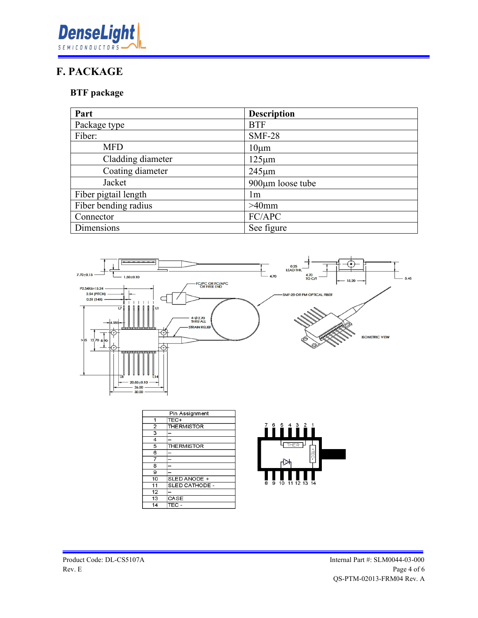

#### **F. PACKAGE**

#### **BTF package**

| Part                 | <b>Description</b>     |
|----------------------|------------------------|
| Package type         | <b>BTF</b>             |
| Fiber:               | <b>SMF-28</b>          |
| <b>MFD</b>           | $10 \mu m$             |
| Cladding diameter    | $125 \mu m$            |
| Coating diameter     | $245 \mu m$            |
| Jacket               | $900 \mu m$ loose tube |
| Fiber pigtail length | lm                     |
| Fiber bending radius | $>40$ mm               |
| Connector            | FC/APC                 |
| Dimensions           | See figure             |



| Pin Assignment          |                    |
|-------------------------|--------------------|
| 1                       | TEC+               |
| $\overline{a}$          | <b>THE RMISTOR</b> |
| $\overline{\mathbf{3}}$ |                    |
| $\overline{4}$          |                    |
| 5                       | <b>THE RMISTOR</b> |
| 6                       |                    |
| 7                       |                    |
| 8                       |                    |
| 9                       |                    |
| 10                      | SLED ANODE +       |
| 11                      | SLED CATHODE -     |
| 12                      |                    |
| 13                      | CASE               |
| 14                      | TEC -              |

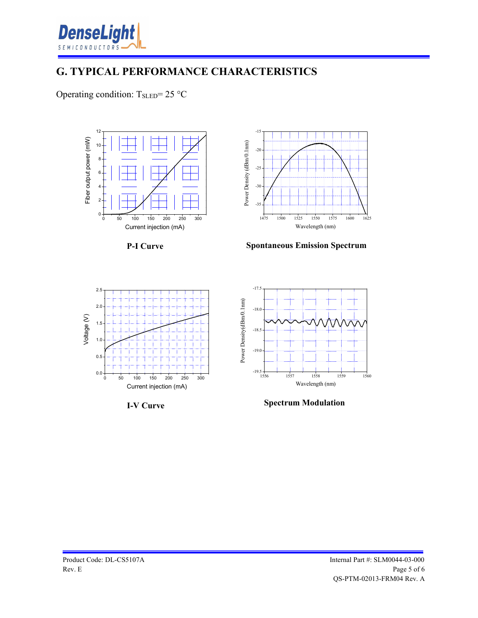

#### **G. TYPICAL PERFORMANCE CHARACTERISTICS**

Operating condition:  $T_{\text{SLED}} = 25 \text{ °C}$ 



**I-V Curve**

**Spectrum Modulation**